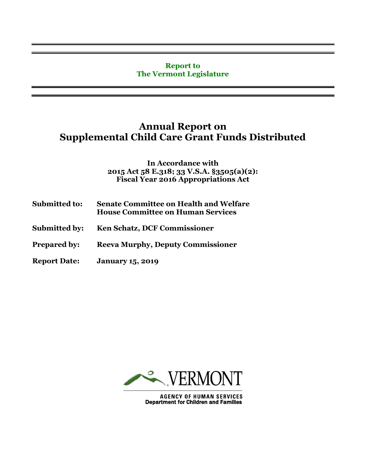## **Report to The Vermont Legislature**

## **Annual Report on Supplemental Child Care Grant Funds Distributed**

**In Accordance with 2015 Act 58 E.318; 33 V.S.A. §3505(a)(2): Fiscal Year 2016 Appropriations Act**

| <b>Submitted to:</b> | <b>Senate Committee on Health and Welfare</b><br><b>House Committee on Human Services</b> |
|----------------------|-------------------------------------------------------------------------------------------|
| <b>Submitted by:</b> | <b>Ken Schatz, DCF Commissioner</b>                                                       |
| <b>Prepared by:</b>  | <b>Reeva Murphy, Deputy Commissioner</b>                                                  |
| <b>Report Date:</b>  | <b>January 15, 2019</b>                                                                   |



**AGENCY OF HUMAN SERVICES**<br>Department for Children and Families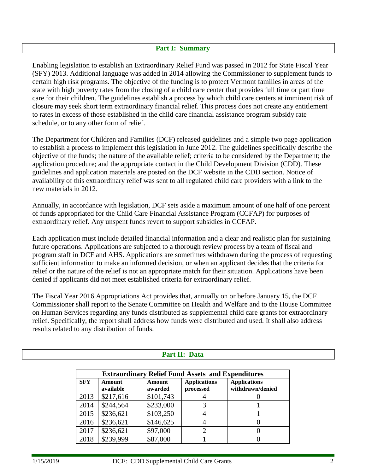## **Part I: Summary**

Enabling legislation to establish an Extraordinary Relief Fund was passed in 2012 for State Fiscal Year (SFY) 2013. Additional language was added in 2014 allowing the Commissioner to supplement funds to certain high risk programs. The objective of the funding is to protect Vermont families in areas of the state with high poverty rates from the closing of a child care center that provides full time or part time care for their children. The guidelines establish a process by which child care centers at imminent risk of closure may seek short term extraordinary financial relief. This process does not create any entitlement to rates in excess of those established in the child care financial assistance program subsidy rate schedule, or to any other form of relief.

The Department for Children and Families (DCF) released guidelines and a simple two page application to establish a process to implement this legislation in June 2012. The guidelines specifically describe the objective of the funds; the nature of the available relief; criteria to be considered by the Department; the application procedure; and the appropriate contact in the Child Development Division (CDD). These guidelines and application materials are posted on the DCF website in the CDD section. Notice of availability of this extraordinary relief was sent to all regulated child care providers with a link to the new materials in 2012.

Annually, in accordance with legislation, DCF sets aside a maximum amount of one half of one percent of funds appropriated for the Child Care Financial Assistance Program (CCFAP) for purposes of extraordinary relief. Any unspent funds revert to support subsidies in CCFAP.

Each application must include detailed financial information and a clear and realistic plan for sustaining future operations. Applications are subjected to a thorough review process by a team of fiscal and program staff in DCF and AHS. Applications are sometimes withdrawn during the process of requesting sufficient information to make an informed decision, or when an applicant decides that the criteria for relief or the nature of the relief is not an appropriate match for their situation. Applications have been denied if applicants did not meet established criteria for extraordinary relief.

The Fiscal Year 2016 Appropriations Act provides that, annually on or before January 15, the DCF Commissioner shall report to the Senate Committee on Health and Welfare and to the House Committee on Human Services regarding any funds distributed as supplemental child care grants for extraordinary relief. Specifically, the report shall address how funds were distributed and used. It shall also address results related to any distribution of funds.

|            | Part II: Data                                            |           |                     |                     |  |  |  |
|------------|----------------------------------------------------------|-----------|---------------------|---------------------|--|--|--|
|            |                                                          |           |                     |                     |  |  |  |
|            | <b>Extraordinary Relief Fund Assets and Expenditures</b> |           |                     |                     |  |  |  |
| <b>SFY</b> | Amount                                                   | Amount    | <b>Applications</b> | <b>Applications</b> |  |  |  |
|            | available                                                | awarded   | processed           | withdrawn/denied    |  |  |  |
| 2013       | \$217,616                                                | \$101,743 |                     |                     |  |  |  |
| 2014       | \$244,564                                                | \$233,000 |                     |                     |  |  |  |
| 2015       | \$236,621                                                | \$103,250 |                     |                     |  |  |  |
| 2016       | \$236,621                                                | \$146,625 |                     | 0                   |  |  |  |
| 2017       | \$236,621                                                | \$97,000  |                     | 0                   |  |  |  |
| 2018       | \$239,999                                                | \$87,000  |                     |                     |  |  |  |